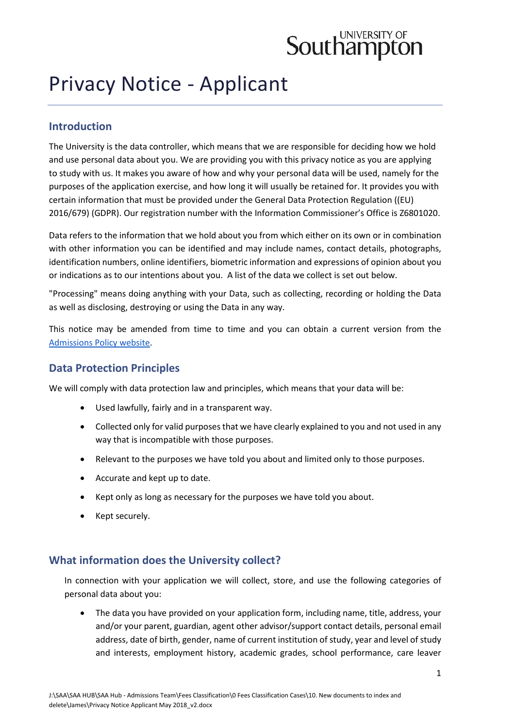# **Southampton**

# Privacy Notice - Applicant

# **Introduction**

The University is the data controller, which means that we are responsible for deciding how we hold and use personal data about you. We are providing you with this privacy notice as you are applying to study with us. It makes you aware of how and why your personal data will be used, namely for the purposes of the application exercise, and how long it will usually be retained for. It provides you with certain information that must be provided under the General Data Protection Regulation ((EU) 2016/679) (GDPR). Our registration number with the Information Commissioner's Office is Z6801020.

Data refers to the information that we hold about you from which either on its own or in combination with other information you can be identified and may include names, contact details, photographs, identification numbers, online identifiers, biometric information and expressions of opinion about you or indications as to our intentions about you. A list of the data we collect is set out below.

"Processing" means doing anything with your Data, such as collecting, recording or holding the Data as well as disclosing, destroying or using the Data in any way.

This notice may be amended from time to time and you can obtain a current version from the [Admissions Policy website.](https://www.southampton.ac.uk/studentadmin/admissions/admissions-policies/index.page)

# **Data Protection Principles**

We will comply with data protection law and principles, which means that your data will be:

- Used lawfully, fairly and in a transparent way.
- Collected only for valid purposes that we have clearly explained to you and not used in any way that is incompatible with those purposes.
- Relevant to the purposes we have told you about and limited only to those purposes.
- Accurate and kept up to date.
- Kept only as long as necessary for the purposes we have told you about.
- Kept securely.

# **What information does the University collect?**

In connection with your application we will collect, store, and use the following categories of personal data about you:

• The data you have provided on your application form, including name, title, address, your and/or your parent, guardian, agent other advisor/support contact details, personal email address, date of birth, gender, name of current institution of study, year and level of study and interests, employment history, academic grades, school performance, care leaver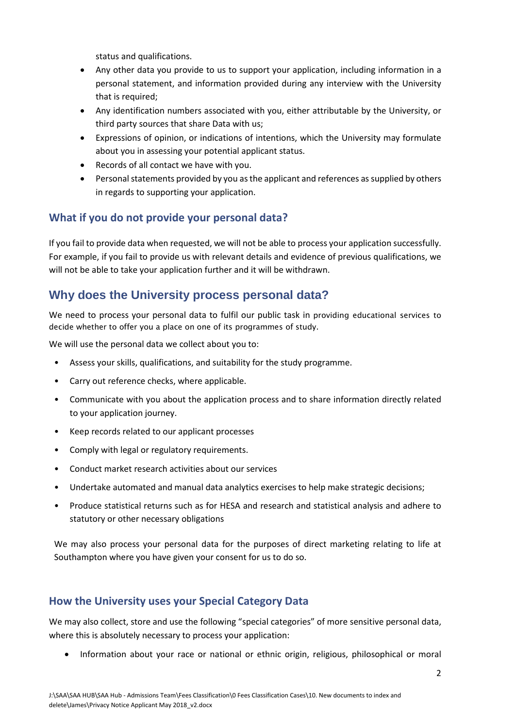status and qualifications.

- Any other data you provide to us to support your application, including information in a personal statement, and information provided during any interview with the University that is required;
- Any identification numbers associated with you, either attributable by the University, or third party sources that share Data with us;
- Expressions of opinion, or indications of intentions, which the University may formulate about you in assessing your potential applicant status.
- Records of all contact we have with you.
- Personal statements provided by you as the applicant and references as supplied by others in regards to supporting your application.

# **What if you do not provide your personal data?**

If you fail to provide data when requested, we will not be able to process your application successfully. For example, if you fail to provide us with relevant details and evidence of previous qualifications, we will not be able to take your application further and it will be withdrawn.

# **Why does the University process personal data?**

We need to process your personal data to fulfil our public task in providing educational services to decide whether to offer you a place on one of its programmes of study.

We will use the personal data we collect about you to:

- Assess your skills, qualifications, and suitability for the study programme.
- Carry out reference checks, where applicable.
- Communicate with you about the application process and to share information directly related to your application journey.
- Keep records related to our applicant processes
- Comply with legal or regulatory requirements.
- Conduct market research activities about our services
- Undertake automated and manual data analytics exercises to help make strategic decisions;
- Produce statistical returns such as for HESA and research and statistical analysis and adhere to statutory or other necessary obligations

We may also process your personal data for the purposes of direct marketing relating to life at Southampton where you have given your consent for us to do so.

# **How the University uses your Special Category Data**

We may also collect, store and use the following "special categories" of more sensitive personal data, where this is absolutely necessary to process your application:

• Information about your race or national or ethnic origin, religious, philosophical or moral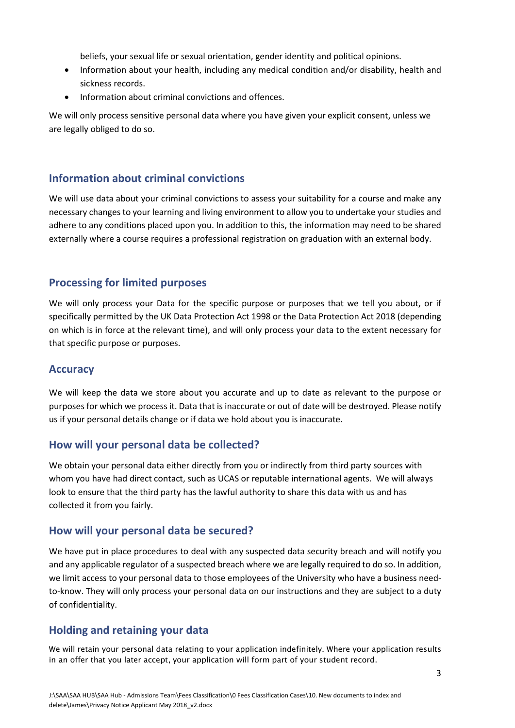beliefs, your sexual life or sexual orientation, gender identity and political opinions.

- Information about your health, including any medical condition and/or disability, health and sickness records.
- Information about criminal convictions and offences.

We will only process sensitive personal data where you have given your explicit consent, unless we are legally obliged to do so.

#### **Information about criminal convictions**

We will use data about your criminal convictions to assess your suitability for a course and make any necessary changes to your learning and living environment to allow you to undertake your studies and adhere to any conditions placed upon you. In addition to this, the information may need to be shared externally where a course requires a professional registration on graduation with an external body.

#### **Processing for limited purposes**

We will only process your Data for the specific purpose or purposes that we tell you about, or if specifically permitted by the UK Data Protection Act 1998 or the Data Protection Act 2018 (depending on which is in force at the relevant time), and will only process your data to the extent necessary for that specific purpose or purposes.

#### **Accuracy**

We will keep the data we store about you accurate and up to date as relevant to the purpose or purposes for which we process it. Data that is inaccurate or out of date will be destroyed. Please notify us if your personal details change or if data we hold about you is inaccurate.

#### **How will your personal data be collected?**

We obtain your personal data either directly from you or indirectly from third party sources with whom you have had direct contact, such as UCAS or reputable international agents. We will always look to ensure that the third party has the lawful authority to share this data with us and has collected it from you fairly.

#### **How will your personal data be secured?**

We have put in place procedures to deal with any suspected data security breach and will notify you and any applicable regulator of a suspected breach where we are legally required to do so. In addition, we limit access to your personal data to those employees of the University who have a business needto-know. They will only process your personal data on our instructions and they are subject to a duty of confidentiality.

# **Holding and retaining your data**

We will retain your personal data relating to your application indefinitely. Where your application results in an offer that you later accept, your application will form part of your student record.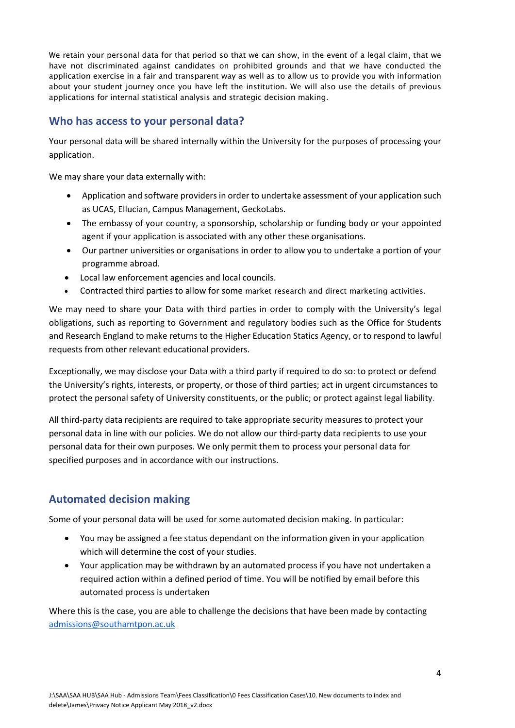We retain your personal data for that period so that we can show, in the event of a legal claim, that we have not discriminated against candidates on prohibited grounds and that we have conducted the application exercise in a fair and transparent way as well as to allow us to provide you with information about your student journey once you have left the institution. We will also use the details of previous applications for internal statistical analysis and strategic decision making.

# **Who has access to your personal data?**

Your personal data will be shared internally within the University for the purposes of processing your application.

We may share your data externally with:

- Application and software providers in order to undertake assessment of your application such as UCAS, Ellucian, Campus Management, GeckoLabs.
- The embassy of your country, a sponsorship, scholarship or funding body or your appointed agent if your application is associated with any other these organisations.
- Our partner universities or organisations in order to allow you to undertake a portion of your programme abroad.
- Local law enforcement agencies and local councils.
- Contracted third parties to allow for some market research and direct marketing activities.

We may need to share your Data with third parties in order to comply with the University's legal obligations, such as reporting to Government and regulatory bodies such as the Office for Students and Research England to make returns to the Higher Education Statics Agency, or to respond to lawful requests from other relevant educational providers.

Exceptionally, we may disclose your Data with a third party if required to do so: to protect or defend the University's rights, interests, or property, or those of third parties; act in urgent circumstances to protect the personal safety of University constituents, or the public; or protect against legal liability.

All third-party data recipients are required to take appropriate security measures to protect your personal data in line with our policies. We do not allow our third-party data recipients to use your personal data for their own purposes. We only permit them to process your personal data for specified purposes and in accordance with our instructions.

# **Automated decision making**

Some of your personal data will be used for some automated decision making. In particular:

- You may be assigned a fee status dependant on the information given in your application which will determine the cost of your studies.
- Your application may be withdrawn by an automated process if you have not undertaken a required action within a defined period of time. You will be notified by email before this automated process is undertaken

Where this is the case, you are able to challenge the decisions that have been made by contacting [admissions@southamtpon.ac.uk](mailto:admissions@southamtpon.ac.uk)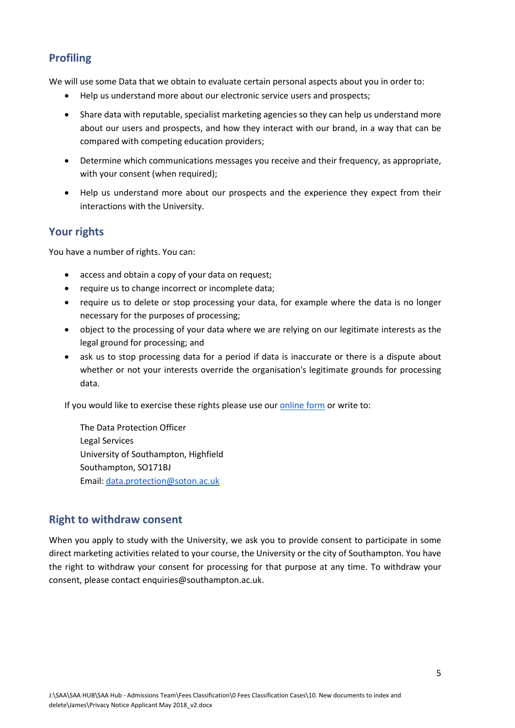# **Profiling**

We will use some Data that we obtain to evaluate certain personal aspects about you in order to:

- Help us understand more about our electronic service users and prospects;
- Share data with reputable, specialist marketing agencies so they can help us understand more about our users and prospects, and how they interact with our brand, in a way that can be compared with competing education providers;
- Determine which communications messages you receive and their frequency, as appropriate, with your consent (when required);
- Help us understand more about our prospects and the experience they expect from their interactions with the University.

#### **Your rights**

You have a number of rights. You can:

- access and obtain a copy of your data on request;
- require us to change incorrect or incomplete data;
- require us to delete or stop processing your data, for example where the data is no longer necessary for the purposes of processing;
- object to the processing of your data where we are relying on our legitimate interests as the legal ground for processing; and
- ask us to stop processing data for a period if data is inaccurate or there is a dispute about whether or not your interests override the organisation's legitimate grounds for processing data.

If you would like to exercise these rights please use our [online form](https://www.southampton.ac.uk/about/governance/freedom-of-information.page) or write to:

The Data Protection Officer Legal Services University of Southampton, Highfield Southampton, SO171BJ Email[: data.protection@soton.ac.uk](mailto:data.protection@soton.ac.uk)

#### **Right to withdraw consent**

When you apply to study with the University, we ask you to provide consent to participate in some direct marketing activities related to your course, the University or the city of Southampton. You have the right to withdraw your consent for processing for that purpose at any time. To withdraw your consent, please contact enquiries@southampton.ac.uk.